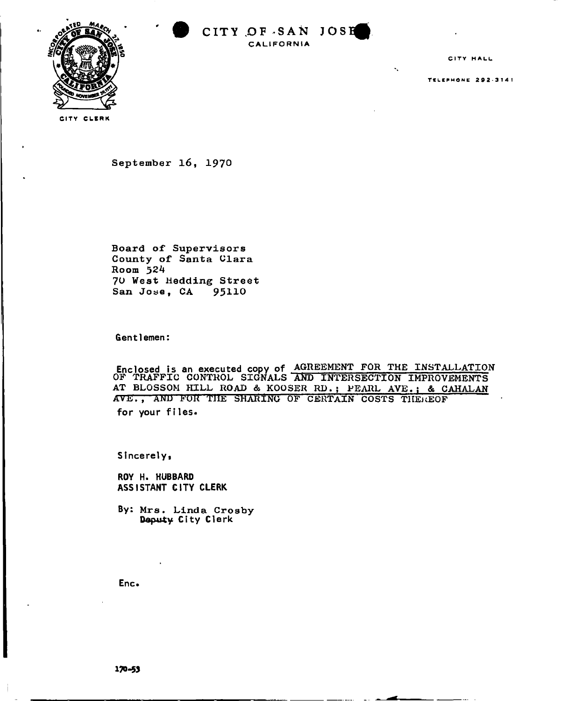

CITY HALL

TELEPHONE 292-3141

Y CLE

September 16, 1970

Board *of* Supervisor s County of Santa Clara Room 524 70 West Hedding Street San Jose, CA 95110

Gentlemen:

Enclosed is an executed copy of **AGREEMENT FOR THE INSTALLATION OF TRAFFIC CONTROL SIGNALS AND INTERSECTION IMPROVEMENTS AT BLOSSOM HILL ROAD & K00SER RD. ; PEARL AVE.; & CAHALAN AVE., ABIU FUK THE SHARING OF CERTAIN COSTS THENEOF**  for your files.

Sincerelyi

ROY H. HUBBARD ASSISTANT CITY CLERK

By: Mrs. Linda Crosby Deputy City Clerk

Enc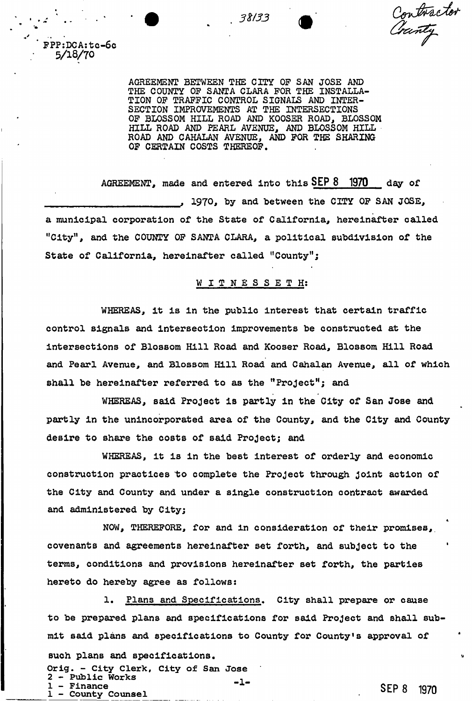Contractor<br>Cranty

' FPP:DCAjtc-6o 5/18/70

> AGREEMENT BETWEEN THE CITY OF SAN JOSE AND THE COUNTY OP SANTA CLARA FOR THE INSTALLA-TION OF TRAFFIC CONTROL SIGNALS AND INTER-SECTION IMPROVEMENTS AT THE INTERSECTIONS OF BLOSSOM HILL ROAD AND KOOSER ROAD, BLOSSOM HILL ROAD AND PEARL AVENUE, AND BLOSSOM HILL ROAD AND CAHALAN AVENUE, AND FOR THE SHARING OF CERTAIN COSTS THEREOF,

. *3%I33* 

AGREEMENT, **made and entered into thi s SEP 8 1970 day of**  , 1970, by and between the CITY OF SAN JOSE, a municipal corporation of the State of California, hereinafter called "City", and the COUNTY OF SANTA CLARA, a political subdivision of the State of California, hereinafter called "County";

### WITNESSETH:

WHEREAS, it is in the public interest that certain traffic control signals and intersection improvements be constructed at the intersections of Blossom Hill Road and Kooser Road, Blossom Hill Road and Pearl Avenue, and Blossom Hill Road and Cahalan Avenue, all of which shall be hereinafter referred to as the "Project"; and

WHEREAS, said Project is partly in the City of San Jose and partly in the unincorporated area of the County, and the City and County desire to share the costs of said Project; and

WHEREAS, it is in the best interest of orderly and economic construction practices to complete the Project through Joint action of the City and County and under a single construction contract awarded and administered by City;

covenants and agreements hereinafter set forth, and subject to the terms, conditions and provisions hereinafter set forth, the parties hereto do hereby agree as follows: NOW, THEREFORE, for and in consideration of their promises,.

to be prepared plans and specifications for said Project and shall submit said plans and specifications to County for County<sup>1</sup>s approval of such plans and specifications. Orig. - City Clerk, City of San Jose  $2 -$  Public Works  $-1 -$ 1. Plans and Specifications, City shall prepare or cause 1 - Finance 1 - County Counsel **SEP 8 1970**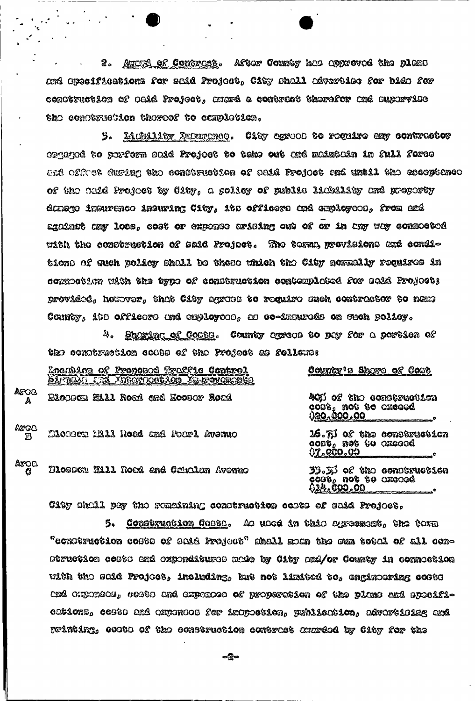Autura of Comeraces. Aftor County has approved the plant ౭. and Opecifications for said Project, City shall advertise for bids for conttruction of OOid Froject, mura a contract thorefor and supervise the contexuetion thereof to completion.

3. <u>Liubility Inturnado</u>. City agrood to require any comtrattor ongegod to porferm said Projoet to take out and maintain in full force and offret during the construction of said Project and until the acceptance of the said Project by City, a golicy of public liebility and property danago insurenco insuring City, its officers and employees, from and against any locs, cost or exponse arising out of or in any way connocted with the construction of said Project. The terms provisions and conditions of such policy shall be these which the City normally requires in commoction with the type of construction contemplated for said Project; proviété, houtver, thut City agrue to require such contrateor to news Connty, its officers und exployees, as co-insureds on such policy.

4. <u>Shoring of Cootes</u>. County oproos to pay for a portion of the construction cose of the Project as follows:

|                      | Locabion of Proposed Traffic Control<br><u>SAIMINI CAI AMERICACAON IS porquendo.</u> | County's Shure of Cost                                                     |
|----------------------|--------------------------------------------------------------------------------------|----------------------------------------------------------------------------|
| ATOB<br>A            | Dleasen Hill Road and Koosor Road                                                    | 40% of the construction<br>cost, not to oxecod<br><u>120,000.00</u>        |
| AFGO<br>$\mathbf{E}$ | Dlonom M11 Hoad and Foarl Avenuo                                                     | 16.73 of the conservetion<br>$\cos t_a$ not to creeed<br><u> 02.000.09</u> |
| Arog<br>g            | Dlosson Will Road and Caualan Avenue                                                 | 33.53 of the condtruction<br>$\cos \theta_0$ not to axcood<br>624,000.00   |

City shall pay the remaining construction costs of said Project.

Construction Coote, Ao uacd in this agreement, the torm 5.  $^\circ$ construction costs of said fro $\mu$ ot $^\circ$  shall mom the sum total of all com-Diruction costs and expenditures ando by City and/or County in connection with the said Project, including, but not limited to, engiseering coste tré ciponéos, costo uné oxponose of properation of the plane and sposifications, costs and expenses for inspection, publication, advertising and printing, costo of the construction contrest exerced by City for the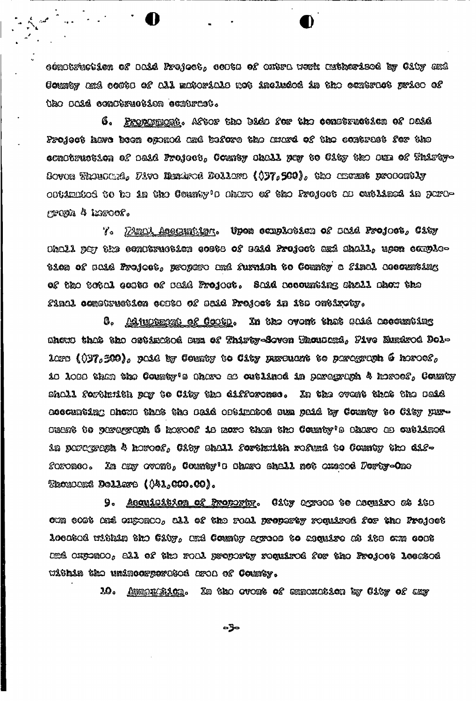oonotruction of ooid Freject, coots of extre werk authorized by City and Counter and coate of all materials not included in the contract price of tho paid conteruction contract.

6. Propamuont. Aftor the bids for the construction of said Project have been opanod and before the auasi of the contrast for the conotruction of baid Froject, County shall pay to City the sum of Thirty-Soven Theuschie, Five Mundred Dollars (037,500), the ameunt prosently obtimited to be in the County's share of the Project as cutlined in paragraya 4 haroof.

7. Mundi Asecunting to Upon completes of said Project, City Ohall pay the condtruction goste of said Project and shall, upon completica of said Froject, propere and furnion to County a final accumting of the total costs of said Froject. Said socounting shall show the final comstruction catto of said Project in 1ts entirety.

Adjuptment of Cootp. In the ovent that said accounting 8, Showt this the catinical Dun of Thirty-Soven Thouting, Five Eurirod Dollore (037,500), poid by County to City purcuant to paragraph 6 horoes, 10 1000 then the County's Ohero as outlined in percyclob 4 horoef, County sholl forthuith por to City the difference. In the event that the said acecumting ahowa that the audi optimated sum paid by County to City pur-Duent to pergyroph 6 horoef is more than the County's share as cutlined in percyren 4 horoe, City shall forthoith refund to County the difforonco. In any ovent, County's share shall not exceed Porty-One Thoucand Dollars (041,000.00).

Acquisition of Property. City agrees to acquire at its 9. otm cost and ouptate, all of the roal preparty required for the Project loortod within the City, und County agrees to asquire at its onn cost  $C$ né oxponCo, all of the roal proporty required for the Project losated within the unincorporetod aroa of County.

10. <u>Augorichich</u>. In the ovent of annoxation by City of any

⇔ ჭ⇔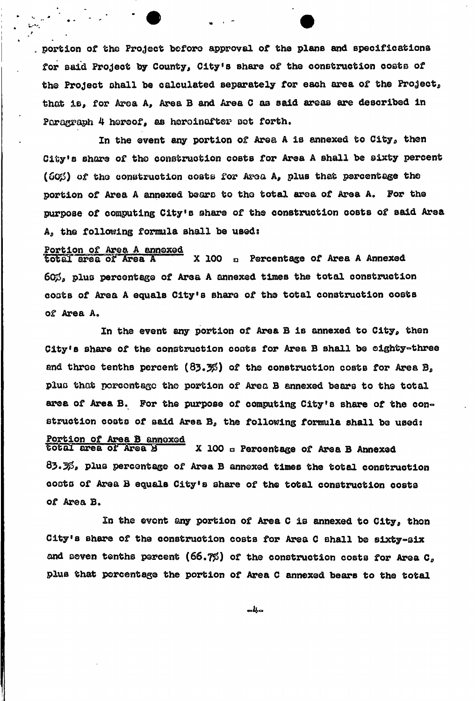portion of the Project before approval of the plans and specifications for said Project by County, City's share of the construction costs of the Project shall be calculated separately for each area of the Project, that is, for Area A, Area B and Area C as said areas are described in Paragraph 4 hereof, as hereinafter sot forth.

In the event any portion of Area A is annexed to  $\mathtt{City}_o$  then City's share of the construction costs for Area A shall be sixty percent (600) of the construction costs for Area A, plus that percentage the portion of Area A annexed bears to the total area of Area A. For the purpose of computing City's share of the construction costs of said Area A<sub>p</sub> the following formula shall be used:

# **Portion of Area A annexed**<br>total area of Area A

X 100 a Percentage of Area A Annexed  $60\%$ , plus percentage of Area A annexed times the total construction costs of Area A equals City's share of the total construction costs coots of Area A equals City's share of the total construction costs

of Area A. City's share of the construction costs for Area B shall be cighty-three and three tenths percent (83.3%) of the construction costs for Area B, and throe tenths percent (83.3\$) of the construction costs for Area B, plus that porccntagc the portion of Area B annexed bears to the total area of Area B. For the purpose of computing City's share of the con« struction costs of said Area B, the following formula shall be used:<br>Portion of Area B annoxed total area of Area B X 100 a Percentage of Area B Annexed  $63.3\%$ , plus percentage of Area B annexed times the total construction

coats of Area B equals City's share of the total construction costs of Area B.

of Area B» City's share of the construction costs for Area C shall be sixty-six and seven tenths percent (66.7%) of the construction costs for Area C, plus that percentage the portion of Area C annexed bears to the total

╺┪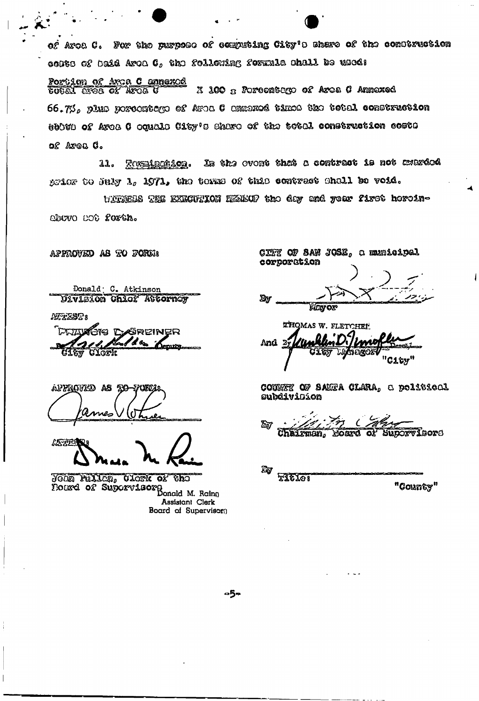of Aroa C. For the purpose of computing City's share of the comstruction conte of baid Aron C, the following formula shall be used:

<u>Portion of Arca C annexod</u><br>COCAL Arca Of Arca C X 100 x Portocatego of Area C Annexed  $66.7\%$ , plus porcontago of Aron C ammoxed times the total construction esten of Arca C oqualo City's share of the total construction costs of Area C.

In the overt that a contract is not anarded 11. <u> Zoxulootion.</u> grier to July 1, 1971, the terms of this contract shall be void.

WITNEDS THE EXECUTION HEABOF the day and your first hereinabevo not forth.

APPROVED AS TO FORE!

Donald C. Atkinson Ulvlsion Chicf Attornoy

AFTEST:

**PRANCIS DEREINER**  $\alpha$ 

AFFROVED AS TO nes

**ANGERI** 

YOON FULLON, CLOSK OF  $\mathfrak{su}_2$ BOURG OF Supervisors Donald M. Rains Assistant Clerk Board of Supervisor()

CITY OF SAN JOSE, a municipal corporation

Bw Mayor

THOMAS W. FLETCHEE And By "C1&y"

COUNTY OF SANTA CLARA, a political subdividíon

ফ্রি Chairman, Moard of Suporvisor6

 $\mathbb{Z}_{\!0}$ **FILLET** "County"

-5−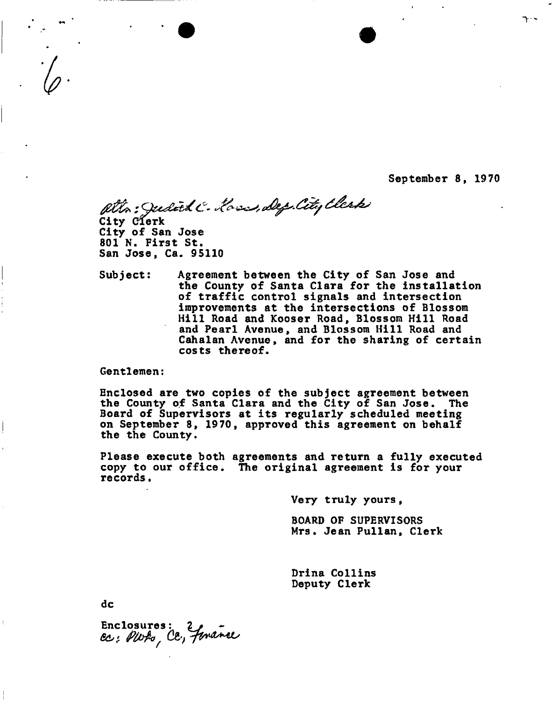September 8, 1970

 $\uparrow$ 

atto: Judith C. Hass, Dep. City Elerki City eferk

City of San Jose 801 N. First St. San Jose, Ca. 95110

Subject: Agreement between the City of San Jose and the County of Santa Clara for the installation of traffic control signals and intersection improvements at the intersections of Blossom Hill Road and Kooser Road, Blossom Hill Road and Pearl Avenue, and Blossom Hill Road and Cahalan Avenue, and for the sharing of certain costs thereof.

Gentlemen:

Enclosed are two copies of the subject agreement between the County of Santa Clara and the City of San Jose. The Board of Supervisors at its regularly scheduled meeting on September 8, 1970, approved this agreement on behalf the the County.

Please execute both agreements and return a fully executed copy to our office. The original agreement is for your records.

Very truly yours,

BOARD OF SUPERVISORS Mrs. Jean Pullan, Clerk

Drina Collins Deputy Clerk

dc

Enclosures: 2<br>Cc: PWto, Cc, finance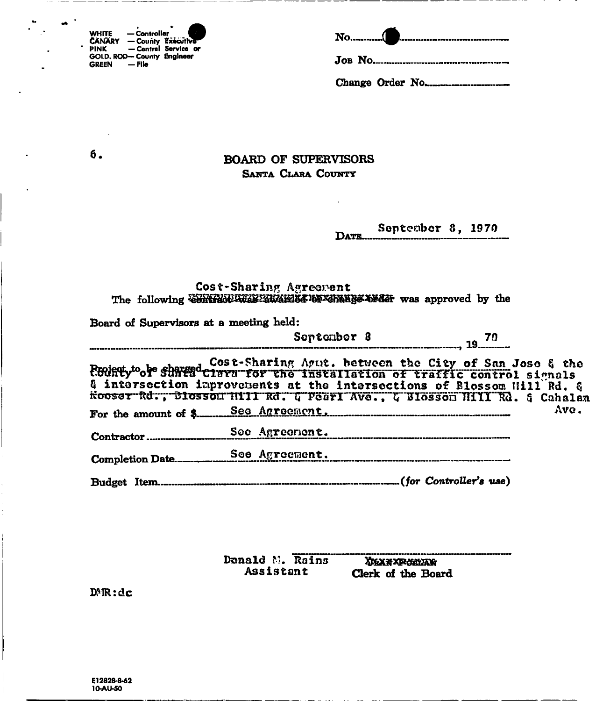| <b>WHITE</b>  | — Controller              |                      |
|---------------|---------------------------|----------------------|
| <b>CANARY</b> |                           | - County Executive   |
| <b>PINK</b>   |                           | - Contral Service or |
|               | GOLD, ROD-County Engineer |                      |
| <b>GREEN</b>  | $-$ File                  |                      |

| No( | 7400 haq baa xaa maray soo soo soo soo soo soo soo iy <del>y</del> |
|-----|--------------------------------------------------------------------|
|-----|--------------------------------------------------------------------|

б.

## **BOARD OF SUPERVISORS** SANTA CLARA COUNTY

#### September 8, 1970 **DATE......**

# Cost-Sharing Agreement<br>The following  $\overline{\text{WHWHM}}$  and  $\overline{\text{WHWHM}}$

| Board of Supervisors at a meeting held: |                                                                                                                                                                                                                                                                                                                                                                                                                |                                             |
|-----------------------------------------|----------------------------------------------------------------------------------------------------------------------------------------------------------------------------------------------------------------------------------------------------------------------------------------------------------------------------------------------------------------------------------------------------------------|---------------------------------------------|
|                                         | September 8                                                                                                                                                                                                                                                                                                                                                                                                    | <del>------------------------</del> , 19.70 |
|                                         | Cost-Sharing Agut. between the City of San Jose & the<br>EGURTy <sup>to</sup> or sunta Clara for the Installation of traffic control signals<br>& intersection improvements at the intersections of Blossom Will Rd. &<br>Hooser Rd., Blosson Hill Rd. G Pearl Ave., G Blosson Hill Rd. 8 Cahalan<br>For the amount of \$ Seq Agreement, Manual Manual Manual Manual Manual Manual Manual Manual Manual Manual | Ave.                                        |
|                                         | Soc Agreement.                                                                                                                                                                                                                                                                                                                                                                                                 |                                             |
|                                         |                                                                                                                                                                                                                                                                                                                                                                                                                |                                             |

Donald M. Rains **XMAX XPORAXXX** Assistant Clerk of the Board

 $DMR:dc$ 

Ī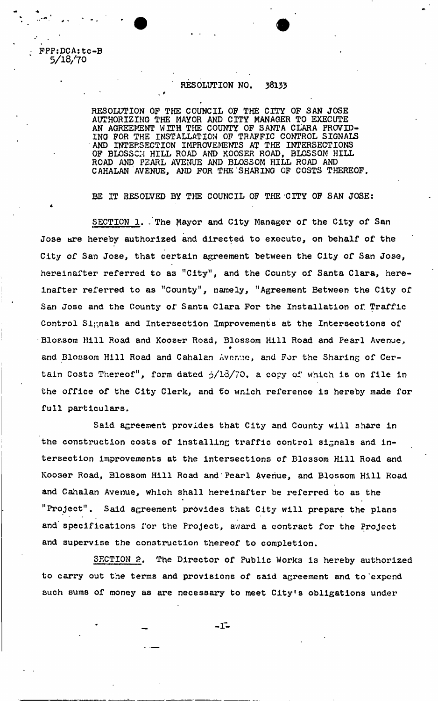FPPsDCA: tc-B 5/18/70

\*

### RESOLUTION NO. 38133

 $\cdot$   $\cdot$ 

RESOLUTION OP THE COUNCIL OP THE CITY OF SAN JOSE AUTHORIZING THE MAYOR AND CITY MANAGER TO EXECUTE AN AGREEMENT WITH THE COUNTY OP SANTA CLARA PROVID-ING FOR THE INSTALLATION OP TRAFFIC CONTROL SIGNALS AND INTERSECTION IMPROVEMENTS AT THE INTERSECTIONS OF BLOSSCH HILL ROAD AND KOOSER ROAD, BLOSSOM HILL ROAD AND PEARL AVENUE AND BLOSSOM HILL ROAD AND CAHALAN AVENUE, AND FOR THE SHARING OF COSTS THEREOF.

*\** 

BE IT RESOLVED BY THE COUNCIL OF THE CITY OF SAN JOSE:

SECTION 1. The Mayor and City Manager of the City of San Jose are hereby authorized and directed to execute, on behalf of the City of San Jose, that certain agreement between the City of San Jose, hereinafter referred to as "City", and the County of Santa Clara, hereinafter referred to as "County", namely, "Agreement Between the City of San Jose and the County of Santa Clara For the Installation of Traffic Control Signals and Intersection Improvements at the Intersections of Blossom Hill Road and Kooser Road, Blossom Hill Road and Pearl Avenue, e and Blossom Hill Road and Cahalan Avenue, and For the Sharing of Certain Costs Thereof", form dated  $\frac{13}{70}$ , a copy of which is on file in the office of the City Clerk, and to wnich reference is hereby made for full particulars.

Said agreement provides that City and County will share in the construction costs of installing traffic control signals and intersection improvements at the intersections of Blossom Hill Road and Kooser Road, Blossom Hill Road and Pearl Avenue, and Blossom Hill Road and Cahalan Avenue, which shall hereinafter be referred to as the "Project". Said agreement provides that City will prepare the plans and specifications for the Project, award a contract for the Project and supervise the construction thereof to completion.

SECTION 2. The Director of Public Works is hereby authorized to carry out the terms and provisions of said agreement and to'expend such sums of money as are necessary to meet City's obligations under

 $-1$   $-$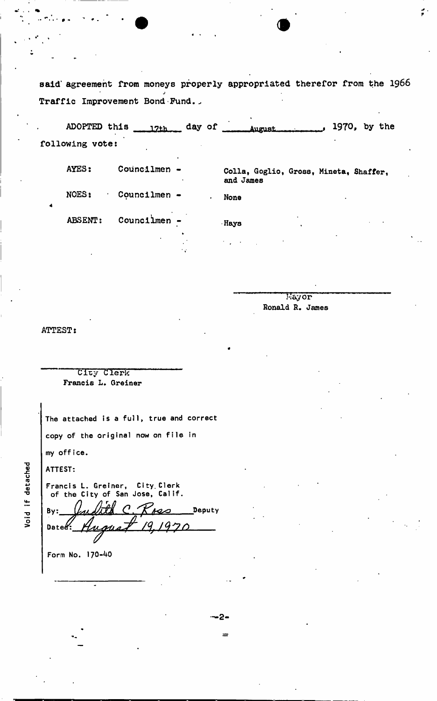said' agreement from moneys properly appropriated therefor from the 1966 *J*  Traffic Improvement Bond Fund.

ADOPTED this  $\frac{17t}{\text{day of}}$  day of  $\frac{1970}{\text{day}}$ , 1970, by the following vote:

| AYES:   | Councilmen -<br>٠                   | Colla, Goglio, Gross, Mineta, Shaffer,<br>and James                  |
|---------|-------------------------------------|----------------------------------------------------------------------|
| NOES:   | $Count1$ men $-$                    | None<br>٠                                                            |
| ABSENT: | Councilmen $-$                      | $\cdot$<br>Hays                                                      |
|         | $\ddot{\phantom{1}}$<br>$\bullet$ . | $\mathcal{F}(\mathcal{F}_\mathbf{a})$ , and $\mathcal{F}_\mathbf{a}$ |

-2-

Mayor Ronald R. James

ATTEST:

City Clerk Francis L. Greiner

**The attached is a full, true and correct copy of the original now on file in my office.** 

**ATTEST:** 

**Francis L. Greiner, City. Clerk of the City of San Jose, Calif.**  By: *University* C. Know Deputy Date<sup>&</sup>:

**Form No. 170-40** 

Void if detached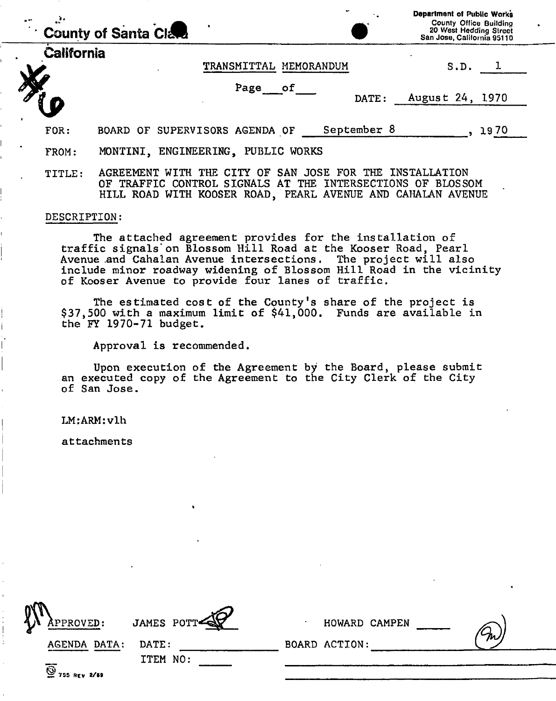|            | County of Santa Clara                                                                                                                       |             | Department of Public Works<br><b>County Office Building</b><br>20 West Hedding Street<br>San Jose, California 95110 |
|------------|---------------------------------------------------------------------------------------------------------------------------------------------|-------------|---------------------------------------------------------------------------------------------------------------------|
| California | TRANSMITTAL MEMORANDUM                                                                                                                      |             | S.D.                                                                                                                |
|            | Page of                                                                                                                                     | DATE:       | August 24, 1970                                                                                                     |
| FOR:       | BOARD OF SUPERVISORS AGENDA OF                                                                                                              | September 8 | 1970                                                                                                                |
| FROM:      | MONTINI, ENGINEERING, PUBLIC WORKS                                                                                                          |             |                                                                                                                     |
| TITLE:     | CITY OF<br><b>SAN</b><br>JOSE FOR THE<br>AGREEMENT<br>THE.<br><b>WTTH</b><br>TRAFFIC CONTROL SIGNALS AT THE INTERSECTIONS OF BLOSSOM<br>OF. |             | INSTALLATION                                                                                                        |

### DESCRIPTION:

The attached agreement provides for the installation of traffic signals on Blossom Hill Road at the Kooser Road, Pearl Avenue .and Cahalan Avenue intersections. The project will also include minor roadway widening of Blossom Hill Road in the vicinity of Kooser Avenue to provide four lanes of traffic.

HILL ROAD WITH KOOSER ROAD, PEARL AVENUE AND CAHALAN AVENUE

The estimated cost of the County's share of the project is \$37,500 with a maximum limit of \$41,000. Funds are available in the FY 1970-71 budget.

Approval is recommended.

Upon execution of the Agreement by the Board, please submit an executed copy of the Agreement to the City Clerk of the City of San Jose.

LM:ARM:vlh

attachments

| APPROVED:                                              | JAMES POTT | HOWARD CAMPEN |   |
|--------------------------------------------------------|------------|---------------|---|
| <b>AGENDA DATA:</b>                                    | DATE:      | BOARD ACTION: | m |
| $\overline{\overset{\circ}{\mathcal{Q}}}$ 755 REV 2/69 | ITEM NO:   |               |   |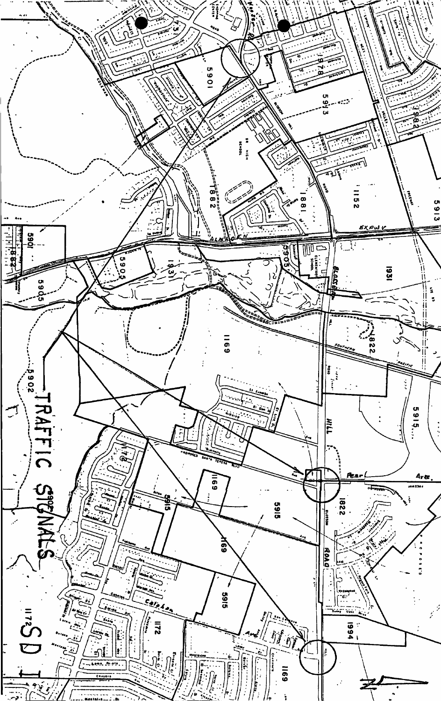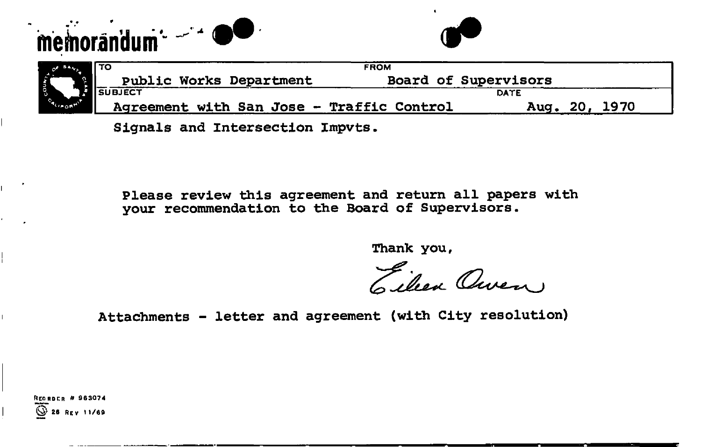



|                  |                                | <b>FROM</b>                               |                      |            |      |
|------------------|--------------------------------|-------------------------------------------|----------------------|------------|------|
|                  | <b>Public Works Department</b> |                                           | Board of Supervisors |            |      |
|                  | <b>RISUBJECT</b>               |                                           |                      | DATE       |      |
| <b>ALIA ORIE</b> |                                | Agreement with San Jose - Traffic Control |                      | 0מ<br>Aua. | 1970 |

Signals and Intersection Impvts.

Please review this agreement and return all papers with your recommendation to the Board of Supervisors.

**Thank** you,

Eilen Owen

Attachments - letter and agreement (with City resolution)

REOBDcn # 963074 @ 26 REv 1»/69